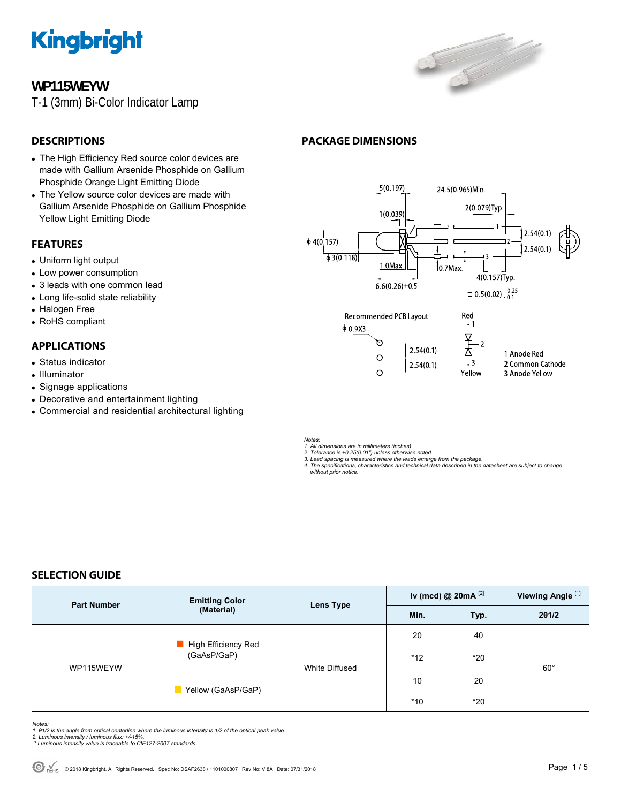

## **WP115WEYW**

T-1 (3mm) Bi-Color Indicator Lamp



## **DESCRIPTIONS**

- The High Efficiency Red source color devices are made with Gallium Arsenide Phosphide on Gallium Phosphide Orange Light Emitting Diode
- The Yellow source color devices are made with Gallium Arsenide Phosphide on Gallium Phosphide Yellow Light Emitting Diode

### **FEATURES**

- Uniform light output
- Low power consumption
- 3 leads with one common lead
- Long life-solid state reliability
- Halogen Free
- RoHS compliant

## **APPLICATIONS**

- Status indicator
- Illuminator
- Signage applications
- Decorative and entertainment lighting
- Commercial and residential architectural lighting

## **PACKAGE DIMENSIONS**



*Notes:* 

*1. All dimensions are in millimeters (inches). 2. Tolerance is ±0.25(0.01") unless otherwise noted.* 

*3. Lead spacing is measured where the leads emerge from the package. 4. The specifications, characteristics and technical data described in the datasheet are subject to change* 

 *without prior notice.*

## **SELECTION GUIDE**

| <b>Part Number</b> | <b>Emitting Color</b><br>(Material) | Lens Type             | Iv (mcd) @ $20mA$ <sup>[2]</sup> |       | Viewing Angle <sup>[1]</sup> |
|--------------------|-------------------------------------|-----------------------|----------------------------------|-------|------------------------------|
|                    |                                     |                       | Min.                             | Typ.  | 201/2                        |
| WP115WEYW          | High Efficiency Red<br>(GaAsP/GaP)  | <b>White Diffused</b> | 20                               | 40    | $60^{\circ}$                 |
|                    |                                     |                       | $*12$                            | $*20$ |                              |
|                    | Yellow (GaAsP/GaP)                  |                       | 10                               | 20    |                              |
|                    |                                     |                       | $*10$                            | $*20$ |                              |

*Notes:* 

- *1. θ1/2 is the angle from optical centerline where the luminous intensity is 1/2 of the optical peak value. 2. Luminous intensity / luminous flux: +/-15%.*
- *\* Luminous intensity value is traceable to CIE127-2007 standards.*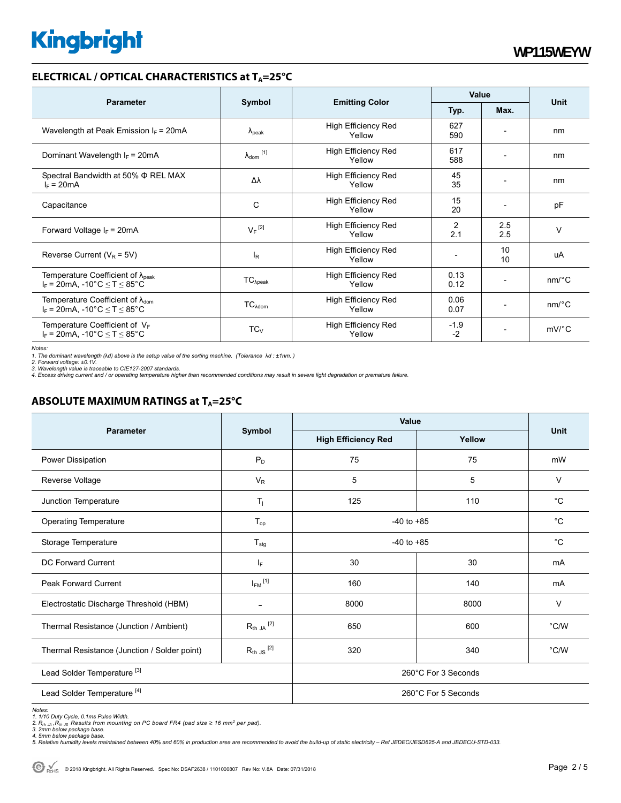## **ELECTRICAL / OPTICAL CHARACTERISTICS at T<sub>A</sub>=25°C**

| <b>Parameter</b>                                                                              | Symbol                       |                                      | Value          |                              |                       |
|-----------------------------------------------------------------------------------------------|------------------------------|--------------------------------------|----------------|------------------------------|-----------------------|
|                                                                                               |                              | <b>Emitting Color</b>                | Typ.           | Max.                         | <b>Unit</b>           |
| Wavelength at Peak Emission $I_F$ = 20mA                                                      | $\Lambda_{\rm peak}$         | <b>High Efficiency Red</b><br>Yellow | 627<br>590     |                              | nm                    |
| Dominant Wavelength $I_F = 20 \text{mA}$                                                      | $\lambda_{\mathsf{dom}}$ [1] | <b>High Efficiency Red</b><br>Yellow | 617<br>588     |                              | nm                    |
| Spectral Bandwidth at 50% $\Phi$ REL MAX<br>$I_F = 20mA$                                      | Δλ                           | <b>High Efficiency Red</b><br>Yellow | 45<br>35       | $\overline{\phantom{0}}$     | nm                    |
| Capacitance                                                                                   | C                            | <b>High Efficiency Red</b><br>Yellow | 15<br>20       |                              | pF                    |
| Forward Voltage $I_F$ = 20mA                                                                  | $V_F$ <sup>[2]</sup>         | <b>High Efficiency Red</b><br>Yellow | 2<br>2.1       | 2.5<br>2.5                   | $\vee$                |
| Reverse Current ( $V_R$ = 5V)                                                                 | $I_R$                        | <b>High Efficiency Red</b><br>Yellow |                | 10<br>10                     | uA                    |
| Temperature Coefficient of $\lambda_{\text{peak}}$<br>$I_F$ = 20mA, -10°C $\leq T \leq 85$ °C | $TC_{\lambda peak}$          | <b>High Efficiency Red</b><br>Yellow | 0.13<br>0.12   |                              | $nm$ <sup>o</sup> $C$ |
| Temperature Coefficient of $\lambda_{\text{dom}}$<br>$I_F = 20mA$ , -10°C $\le T \le 85$ °C   | $TC_{\lambda dom}$           | <b>High Efficiency Red</b><br>Yellow | 0.06<br>0.07   |                              | $nm$ <sup>o</sup> $C$ |
| Temperature Coefficient of $V_F$<br>$I_F$ = 20mA, -10°C $\leq T \leq 85$ °C                   | $TC_{V}$                     | <b>High Efficiency Red</b><br>Yellow | $-1.9$<br>$-2$ | $\qquad \qquad \blacksquare$ | $mV$ °C               |

*Notes:* 

*1. The dominant wavelength (*λ*d) above is the setup value of the sorting machine. (Tolerance* λ*d : ±1nm. ) 2. Forward voltage: ±0.1V.* 

3. Wavelength value is traceable to CIE127-2007 standards.<br>4. Excess driving current and / or operating temperature higher than recommended conditions may result in severe light degradation or premature failure.

## **ABSOLUTE MAXIMUM RATINGS at T<sub>A</sub>=25°C**

| <b>Parameter</b>                             | Symbol                  | Value                      |        |               |  |
|----------------------------------------------|-------------------------|----------------------------|--------|---------------|--|
|                                              |                         | <b>High Efficiency Red</b> | Yellow | <b>Unit</b>   |  |
| Power Dissipation                            | $P_D$                   | 75                         | 75     | mW            |  |
| Reverse Voltage                              | $V_R$                   | 5                          | 5      | $\vee$        |  |
| Junction Temperature                         | $T_j$                   | 125                        | 110    | °C            |  |
| <b>Operating Temperature</b>                 | $T_{op}$                | $-40$ to $+85$             |        | $^{\circ}C$   |  |
| Storage Temperature                          | $T_{\text{stg}}$        | $-40$ to $+85$             |        | $^{\circ}C$   |  |
| <b>DC Forward Current</b>                    | IF.                     | 30                         | 30     | mA            |  |
| <b>Peak Forward Current</b>                  | $I_{FM}$ <sup>[1]</sup> | 160                        | 140    | mA            |  |
| Electrostatic Discharge Threshold (HBM)      |                         | 8000                       | 8000   | $\vee$        |  |
| Thermal Resistance (Junction / Ambient)      | $R_{th}$ ja $^{[2]}$    | 650                        | 600    | $\degree$ C/W |  |
| Thermal Resistance (Junction / Solder point) | $R_{th}$ JS $^{[2]}$    | 320                        | 340    | $\degree$ C/W |  |
| Lead Solder Temperature <sup>[3]</sup>       | 260°C For 3 Seconds     |                            |        |               |  |
| Lead Solder Temperature <sup>[4]</sup>       |                         | 260°C For 5 Seconds        |        |               |  |

Notes:<br>1. 1/10 Duty Cycle, 0.1ms Pulse Width.<br>2. R<sub>th JA</sub> ,R<sub>th JS</sub> Results from mounting on PC board FR4 (pad size ≥ 16 mm<sup>2</sup> per pad).<br>3. 2mm below package base.<br>4. Smlative humidity levels maintained between 40% and 60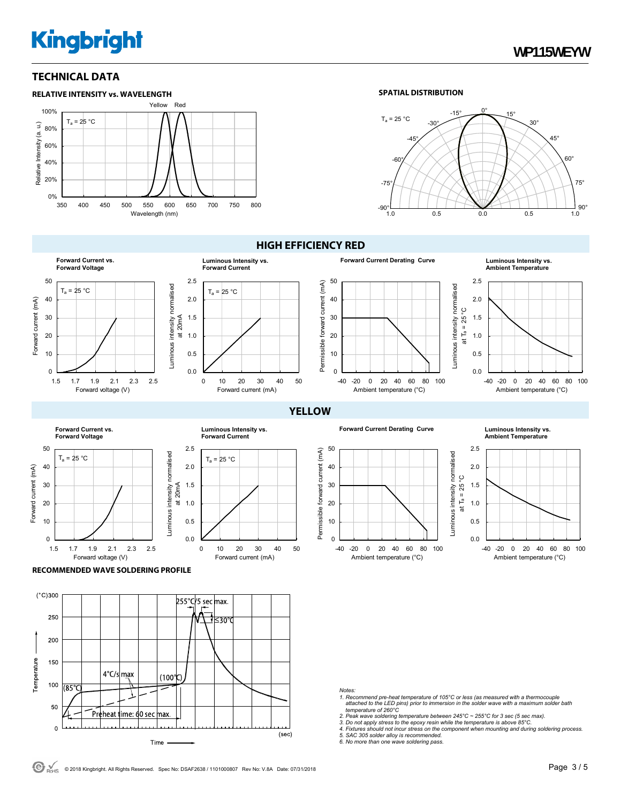## **TECHNICAL DATA**



0.0 0.5 1.0 1.5 2.0 2.5

 $0.0$ 0.5 1.0 1.5 2.0 2.5

Luminous intensity normalised at 20mA

Luminous intensity normalised

0 10 20 30 40 50

Forward current (mA)

 $T_a = 25 °C$ 

**Luminous Intensity vs. Forward Current**

at 20mA

#### **SPATIAL DISTRIBUTION**





## **HIGH EFFICIENCY RED**



**YELLOW**

**Forward Current Derating Curve Luminous Intensity vs.** 



**Ambient Temperature**



#### **RECOMMENDED WAVE SOLDERING PROFILE**

1.5 1.7 1.9 2.1 2.3 2.5

Forward voltage (V)

Forward current (mA)

Forward current (mA)

 $T_a = 25 °C$ 

**Forward Current vs. Forward Voltage**



#### *Notes:*

- *1. Recommend pre-heat temperature of 105°C or less (as measured with a thermocouple attached to the LED pins) prior to immersion in the solder wave with a maximum solder bath temperature of 260°C*
- 
- *2. Peak wave soldering temperature between 245°C ~ 255°C for 3 sec (5 sec max). 3. Do not apply stress to the epoxy resin while the temperature is above 85°C.*
- *4. Fixtures should not incur stress on the component when mounting and during soldering process. 5. SAC 305 solder alloy is recommended. 6. No more than one wave soldering pass.*
- 

 $\Theta$  RoHS © 2018 Kingbright. All Rights Reserved. Spec No: DSAF2638 / 1101000807 Rev No: V.8A Date: 07/31/2018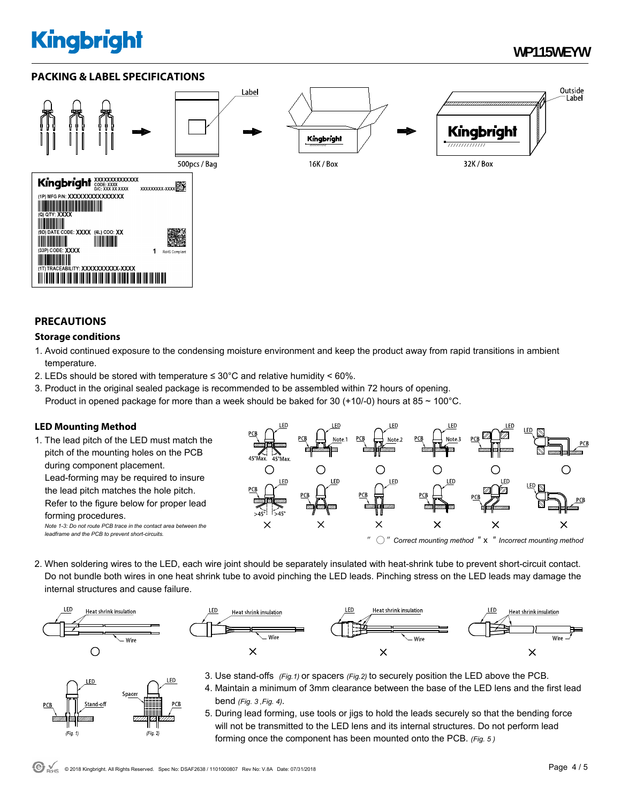## **WP115WEYW**

Outside

Label

## **PACKING & LABEL SPECIFICATIONS**



### **PRECAUTIONS**

### **Storage conditions**

- 1. Avoid continued exposure to the condensing moisture environment and keep the product away from rapid transitions in ambient temperature.
- 2. LEDs should be stored with temperature  $\leq 30^{\circ}$ C and relative humidity < 60%.
- 3. Product in the original sealed package is recommended to be assembled within 72 hours of opening. Product in opened package for more than a week should be baked for 30 (+10/-0) hours at 85  $\sim$  100 $^{\circ}$ C.

## **LED Mounting Method**

1. The lead pitch of the LED must match the pitch of the mounting holes on the PCB during component placement. Lead-forming may be required to insure the lead pitch matches the hole pitch. Refer to the figure below for proper lead forming procedures. *Note 1-3: Do not route PCB trace in the contact area between the leadframe and the PCB to prevent short-circuits.* 



2. When soldering wires to the LED, each wire joint should be separately insulated with heat-shrink tube to prevent short-circuit contact. Do not bundle both wires in one heat shrink tube to avoid pinching the LED leads. Pinching stress on the LED leads may damage the internal structures and cause failure.





- LED LED Spacer  $\nabla$  $(Fig. 2)$  $(Fig. 1)$
- 3. Use stand-offs *(Fig.1)* or spacers *(Fig.2)* to securely position the LED above the PCB.
	- 4. Maintain a minimum of 3mm clearance between the base of the LED lens and the first lead bend *(Fig. 3 ,Fig. 4).*
	- 5. During lead forming, use tools or jigs to hold the leads securely so that the bending force will not be transmitted to the LED lens and its internal structures. Do not perform lead forming once the component has been mounted onto the PCB. *(Fig. 5 )*